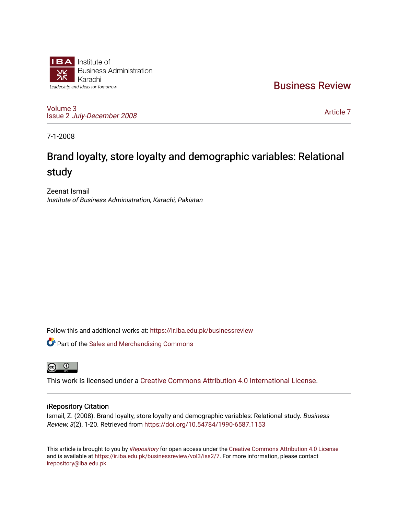

[Business Review](https://ir.iba.edu.pk/businessreview) 

[Volume 3](https://ir.iba.edu.pk/businessreview/vol3) Issue 2 [July-December 2008](https://ir.iba.edu.pk/businessreview/vol3/iss2)

[Article 7](https://ir.iba.edu.pk/businessreview/vol3/iss2/7) 

7-1-2008

# Brand loyalty, store loyalty and demographic variables: Relational study

Zeenat Ismail Institute of Business Administration, Karachi, Pakistan

Follow this and additional works at: [https://ir.iba.edu.pk/businessreview](https://ir.iba.edu.pk/businessreview?utm_source=ir.iba.edu.pk%2Fbusinessreview%2Fvol3%2Fiss2%2F7&utm_medium=PDF&utm_campaign=PDFCoverPages) 

**Part of the [Sales and Merchandising Commons](http://network.bepress.com/hgg/discipline/646?utm_source=ir.iba.edu.pk%2Fbusinessreview%2Fvol3%2Fiss2%2F7&utm_medium=PDF&utm_campaign=PDFCoverPages)** 



This work is licensed under a [Creative Commons Attribution 4.0 International License](https://creativecommons.org/licenses/by/4.0/).

## iRepository Citation

Ismail, Z. (2008). Brand loyalty, store loyalty and demographic variables: Relational study. Business Review, 3(2), 1-20. Retrieved from<https://doi.org/10.54784/1990-6587.1153>

This article is brought to you by [iRepository](https://ir.iba.edu.pk/) for open access under the Creative Commons Attribution 4.0 License and is available at [https://ir.iba.edu.pk/businessreview/vol3/iss2/7.](https://ir.iba.edu.pk/businessreview/vol3/iss2/7) For more information, please contact [irepository@iba.edu.pk.](mailto:irepository@iba.edu.pk)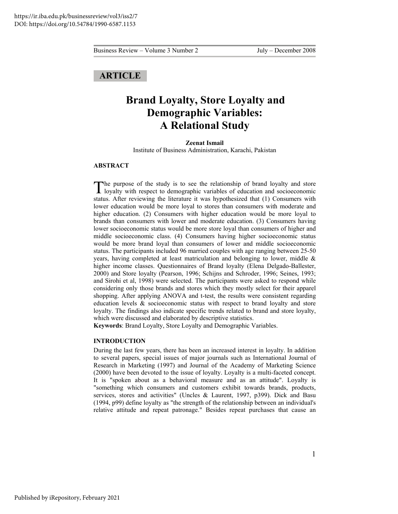# **ARTICLE**

# **Brand Loyalty, Store Loyalty and Demographic Variables: A Relational Study**

**Zeenat Ismail**  Institute of Business Administration, Karachi, Pakistan

#### **ABSTRACT**

The purpose of the study is to see the relationship of brand loyalty and store loyalty with respect to demographic variables of education and socioeconomic  $\blacksquare$  loyalty with respect to demographic variables of education and socioeconomic status. After reviewing the literature it was hypothesized that (1) Consumers with lower education would be more loyal to stores than consumers with moderate and higher education. (2) Consumers with higher education would be more loyal to brands than consumers with lower and moderate education. (3) Consumers having lower socioeconomic status would be more store loyal than consumers of higher and middle socioeconomic class. (4) Consumers having higher socioeconomic status would be more brand loyal than consumers of lower and middle socioeconomic status. The participants included 96 married couples with age ranging between 25-50 years, having completed at least matriculation and belonging to lower, middle & higher income classes. Questionnaires of Brand loyalty (Elena Delgado-Ballester, 2000) and Store loyalty (Pearson, 1996; Schijns and Schroder, 1996; Seines, 1993; and Sirohi et al, 1998) were selected. The participants were asked to respond while considering only those brands and stores which they mostly select for their apparel shopping. After applying ANOVA and t-test, the results were consistent regarding education levels & socioeconomic status with respect to brand loyalty and store loyalty. The findings also indicate specific trends related to brand and store loyalty, which were discussed and elaborated by descriptive statistics.

**Keywords**: Brand Loyalty, Store Loyalty and Demographic Variables.

#### **INTRODUCTION**

During the last few years, there has been an increased interest in loyalty. In addition to several papers, special issues of major journals such as International Journal of Research in Marketing (1997) and Journal of the Academy of Marketing Science (2000) have been devoted to the issue of loyalty. Loyalty is a multi-faceted concept. It is "spoken about as a behavioral measure and as an attitude". Loyalty is "something which consumers and customers exhibit towards brands, products, services, stores and activities" (Uncles & Laurent, 1997, p399). Dick and Basu (1994, p99) define loyalty as "the strength of the relationship between an individual's relative attitude and repeat patronage." Besides repeat purchases that cause an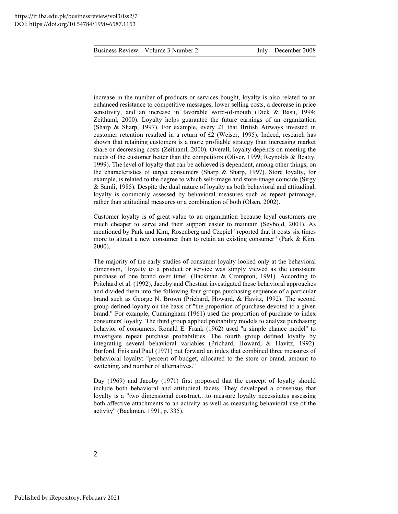increase in the number of products or services bought, loyalty is also related to an enhanced resistance to competitive messages, lower selling costs, a decrease in price sensitivity, and an increase in favorable word-of-mouth (Dick & Basu, 1994; Zeithaml, 2000). Loyalty helps guarantee the future earnings of an organization (Sharp & Sharp, 1997). For example, every £1 that British Airways invested in customer retention resulted in a return of £2 (Weiser, 1995). Indeed, research has shown that retaining customers is a more profitable strategy than increasing market share or decreasing costs (Zeithaml, 2000). Overall, loyalty depends on meeting the needs of the customer better than the competitors (Oliver, 1999; Reynolds & Beatty, 1999). The level of loyalty that can be achieved is dependent, among other things, on the characteristics of target consumers (Sharp & Sharp, 1997). Store loyalty, for example, is related to the degree to which self-image and store-image coincide (Sirgy & Samli, 1985). Despite the dual nature of loyalty as both behavioral and attitudinal, loyalty is commonly assessed by behavioral measures such as repeat patronage, rather than attitudinal measures or a combination of both (Olsen, 2002).

Customer loyalty is of great value to an organization because loyal customers are much cheaper to serve and their support easier to maintain (Seybold, 2001). As mentioned by Park and Kim, Rosenberg and Czepiel "reported that it costs six times more to attract a new consumer than to retain an existing consumer" (Park & Kim, 2000).

The majority of the early studies of consumer loyalty looked only at the behavioral dimension, "loyalty to a product or service was simply viewed as the consistent purchase of one brand over time" (Backman & Crompton, 1991). According to Pritchard et al. (1992), Jacoby and Chestnut investigated these behavioral approaches and divided them into the following four groups purchasing sequence of a particular brand such as George N. Brown (Prichard, Howard, & Havitz, 1992). The second group defined loyalty on the basis of "the proportion of purchase devoted to a given brand." For example, Cunningham (1961) used the proportion of purchase to index consumers' loyalty. The third group applied probability models to analyze purchasing behavior of consumers. Ronald E. Frank (1962) used "a simple chance model" to investigate repeat purchase probabilities. The fourth group defined loyalty by integrating several behavioral variables (Prichard, Howard, & Havitz, 1992). Burford, Enis and Paul (1971) put forward an index that combined three measures of behavioral loyalty: "percent of budget, allocated to the store or brand, amount to switching, and number of alternatives."

Day (1969) and Jacoby (1971) first proposed that the concept of loyalty should include both behavioral and attitudinal facets. They developed a consensus that loyalty is a "two dimensional construct…to measure loyalty necessitates assessing both affective attachments to an activity as well as measuring behavioral use of the activity" (Backman, 1991, p. 335).

2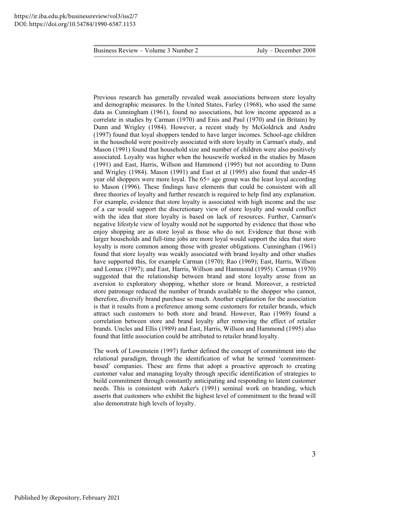Previous research has generally revealed weak associations between store loyalty and demographic measures. In the United States, Farley (1968), who used the same data as Cunningham (1961), found no associations, but low income appeared as a correlate in studies by Carman (1970) and Enis and Paul (1970) and (in Britain) by Dunn and Wrigley (1984). However, a recent study by McGoldrick and Andre (1997) found that loyal shoppers tended to have larger incomes. School-age children in the household were positively associated with store loyalty in Carman's study, and Mason (1991) found that household size and number of children were also positively associated. Loyalty was higher when the housewife worked in the studies by Mason (1991) and East, Harris, Willson and Hammond (1995) but not according to Dunn and Wrigley (1984). Mason (1991) and East et al (1995) also found that under-45 year old shoppers were more loyal. The 65+ age group was the least loyal according to Mason (1996). These findings have elements that could be consistent with all three theories of loyalty and further research is required to help find any explanation. For example, evidence that store loyalty is associated with high income and the use of a car would support the discretionary view of store loyalty and would conflict with the idea that store loyalty is based on lack of resources. Further, Carman's negative lifestyle view of loyalty would not be supported by evidence that those who enjoy shopping are as store loyal as those who do not. Evidence that those with larger households and full-time jobs are more loyal would support the idea that store loyalty is more common among those with greater obligations. Cunningham (1961) found that store loyalty was weakly associated with brand loyalty and other studies have supported this, for example Carman (1970); Rao (1969); East, Harris, Willson and Lomax (1997); and East, Harris, Willson and Hammond (1995). Carman (1970) suggested that the relationship between brand and store loyalty arose from an aversion to exploratory shopping, whether store or brand. Moreover, a restricted store patronage reduced the number of brands available to the shopper who cannot, therefore, diversify brand purchase so much. Another explanation for the association is that it results from a preference among some customers for retailer brands, which attract such customers to both store and brand. However, Rao (1969) found a correlation between store and brand loyalty after removing the effect of retailer brands. Uncles and Ellis (1989) and East, Harris, Willson and Hammond (1995) also found that little association could be attributed to retailer brand loyalty.

The work of Lowenstein (1997) further defined the concept of commitment into the relational paradigm, through the identification of what he termed 'commitmentbased' companies. These are firms that adopt a proactive approach to creating customer value and managing loyalty through specific identification of strategies to build commitment through constantly anticipating and responding to latent customer needs. This is consistent with Aaker's (1991) seminal work on branding, which asserts that customers who exhibit the highest level of commitment to the brand will also demonstrate high levels of loyalty.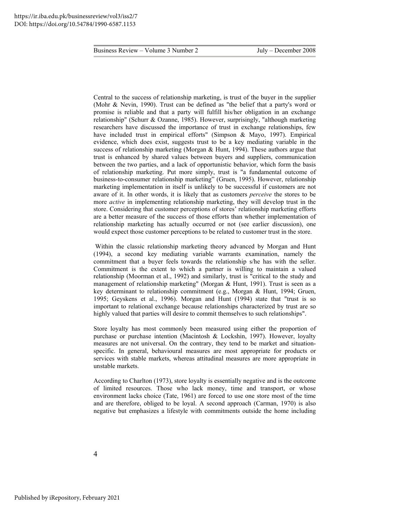Central to the success of relationship marketing, is trust of the buyer in the supplier (Mohr & Nevin, 1990). Trust can be defined as "the belief that a party's word or promise is reliable and that a party will fulfill his/her obligation in an exchange relationship" (Schurr & Ozanne, 1985). However, surprisingly, "although marketing researchers have discussed the importance of trust in exchange relationships, few have included trust in empirical efforts" (Simpson & Mayo, 1997). Empirical evidence, which does exist, suggests trust to be a key mediating variable in the success of relationship marketing (Morgan & Hunt, 1994). These authors argue that trust is enhanced by shared values between buyers and suppliers, communication between the two parties, and a lack of opportunistic behavior, which form the basis of relationship marketing. Put more simply, trust is "a fundamental outcome of business-to-consumer relationship marketing" (Gruen, 1995). However, relationship marketing implementation in itself is unlikely to be successful if customers are not aware of it. In other words, it is likely that as customers *perceive* the stores to be more *active* in implementing relationship marketing, they will develop trust in the store. Considering that customer perceptions of stores' relationship marketing efforts are a better measure of the success of those efforts than whether implementation of relationship marketing has actually occurred or not (see earlier discussion), one would expect those customer perceptions to be related to customer trust in the store.

 Within the classic relationship marketing theory advanced by Morgan and Hunt (1994), a second key mediating variable warrants examination, namely the commitment that a buyer feels towards the relationship s/he has with the seller. Commitment is the extent to which a partner is willing to maintain a valued relationship (Moorman et aI., 1992) and similarly, trust is "critical to the study and management of relationship marketing" (Morgan & Hunt, 1991). Trust is seen as a key determinant to relationship commitment (e.g., Morgan & Hunt, 1994; Gruen, 1995; Geyskens et al., 1996). Morgan and Hunt (1994) state that "trust is so important to relational exchange because relationships characterized by trust are so highly valued that parties will desire to commit themselves to such relationships".

Store loyalty has most commonly been measured using either the proportion of purchase or purchase intention (Macintosh & Lockshin, 1997). However, loyalty measures are not universal. On the contrary, they tend to be market and situationspecific. In general, behavioural measures are most appropriate for products or services with stable markets, whereas attitudinal measures are more appropriate in unstable markets.

According to Charlton (1973), store loyalty is essentially negative and is the outcome of limited resources. Those who lack money, time and transport, or whose environment lacks choice (Tate, 1961) are forced to use one store most of the time and are therefore, obliged to be loyal. A second approach (Carman, 1970) is also negative but emphasizes a lifestyle with commitments outside the home including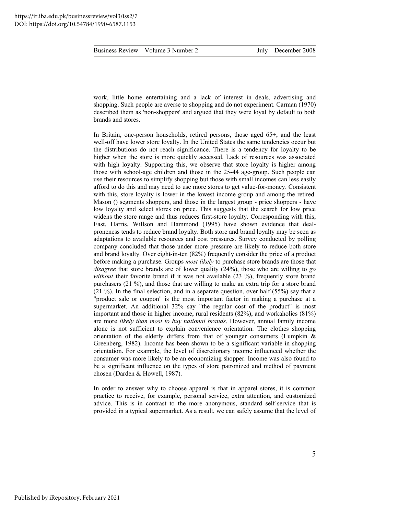work, little home entertaining and a lack of interest in deals, advertising and shopping. Such people are averse to shopping and do not experiment. Carman (1970) described them as 'non-shoppers' and argued that they were loyal by default to both brands and stores.

In Britain, one-person households, retired persons, those aged 65+, and the least well-off have lower store loyalty. In the United States the same tendencies occur but the distributions do not reach significance. There is a tendency for loyalty to be higher when the store is more quickly accessed. Lack of resources was associated with high loyalty. Supporting this, we observe that store loyalty is higher among those with school-age children and those in the 25-44 age-group. Such people can use their resources to simplify shopping but those with small incomes can less easily afford to do this and may need to use more stores to get value-for-money. Consistent with this, store loyalty is lower in the lowest income group and among the retired. Mason () segments shoppers, and those in the largest group - price shoppers - have low loyalty and select stores on price. This suggests that the search for low price widens the store range and thus reduces first-store loyalty. Corresponding with this, East, Harris, Willson and Hammond (1995) have shown evidence that dealproneness tends to reduce brand loyalty. Both store and brand loyalty may be seen as adaptations to available resources and cost pressures. Survey conducted by polling company concluded that those under more pressure are likely to reduce both store and brand loyalty. Over eight-in-ten (82%) frequently consider the price of a product before making a purchase. Groups *most likely* to purchase store brands are those that *disagree* that store brands are of lower quality (24%), those who are willing to *go without* their favorite brand if it was not available (23 %), frequently store brand purchasers (21 %), and those that are willing to make an extra trip for a store brand (21 %). In the final selection, and in a separate question, over half (55%) say that a "product sale or coupon" is the most important factor in making a purchase at a supermarket. An additional 32% say "the regular cost of the product" is most important and those in higher income, rural residents (82%), and workaholics (81%) are more *likely than most to buy national brands*. However, annual family income alone is not sufficient to explain convenience orientation. The clothes shopping orientation of the elderly differs from that of younger consumers (Lumpkin & Greenberg, 1982). Income has been shown to be a significant variable in shopping orientation. For example, the level of discretionary income influenced whether the consumer was more likely to be an economizing shopper. Income was also found to be a significant influence on the types of store patronized and method of payment chosen (Darden & Howell, 1987).

In order to answer why to choose apparel is that in apparel stores, it is common practice to receive, for example, personal service, extra attention, and customized advice. This is in contrast to the more anonymous, standard self-service that is provided in a typical supermarket. As a result, we can safely assume that the level of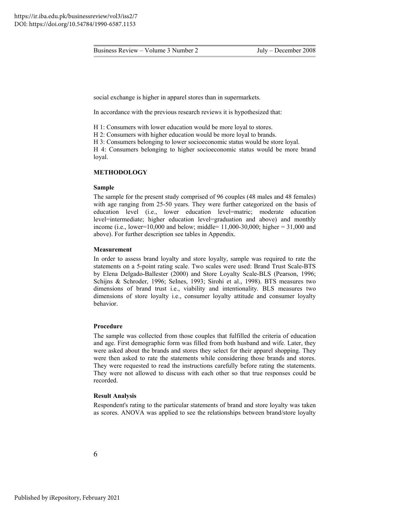social exchange is higher in apparel stores than in supermarkets.

In accordance with the previous research reviews it is hypothesized that:

H 1: Consumers with lower education would be more loyal to stores.

H 2: Consumers with higher education would be more loyal to brands.

H 3: Consumers belonging to lower socioeconomic status would be store loyal.

H 4: Consumers belonging to higher socioeconomic status would be more brand loyal.

## **METHODOLOGY**

#### **Sample**

The sample for the present study comprised of 96 couples (48 males and 48 females) with age ranging from 25-50 years. They were further categorized on the basis of education level (i.e., lower education level=matric; moderate education level=intermediate; higher education level=graduation and above) and monthly income (i.e., lower= $10,000$  and below; middle=  $11,000-30,000$ ; higher =  $31,000$  and above). For further description see tables in Appendix.

#### **Measurement**

In order to assess brand loyalty and store loyalty, sample was required to rate the statements on a 5-point rating scale. Two scales were used: Brand Trust Scale-BTS by Elena Delgado-Ballester (2000) and Store Loyalty Scale-BLS (Pearson, 1996; Schijns & Schroder, 1996; SeInes, 1993; Sirohi et al., 1998). BTS measures two dimensions of brand trust i.e., viability and intentionality. BLS measures two dimensions of store loyalty i.e., consumer loyalty attitude and consumer loyalty behavior.

#### **Procedure**

The sample was collected from those couples that fulfilled the criteria of education and age. First demographic form was filled from both husband and wife. Later, they were asked about the brands and stores they select for their apparel shopping. They were then asked to rate the statements while considering those brands and stores. They were requested to read the instructions carefully before rating the statements. They were not allowed to discuss with each other so that true responses could be recorded.

#### **Result Analysis**

Respondent's rating to the particular statements of brand and store loyalty was taken as scores. ANOVA was applied to see the relationships between brand/store loyalty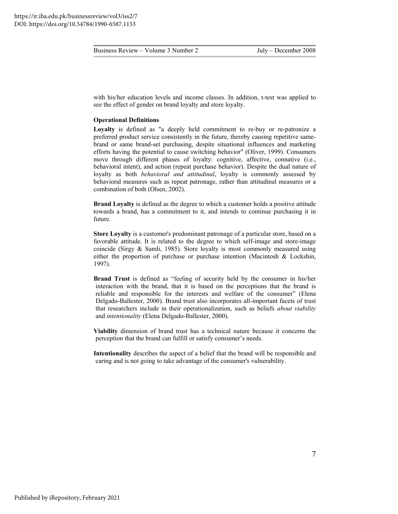| Business Review – Volume 3 Number 2 |
|-------------------------------------|
|-------------------------------------|

with his/her education levels and income classes. In addition, t-test was applied to see the effect of gender on brand loyalty and store loyalty.

#### **Operational Definitions**

**Loyalty** is defined as "a deeply held commitment to re-buy or re-patronize a preferred product service consistently in the future, thereby causing repetitive samebrand or same brand-set purchasing, despite situational influences and marketing efforts having the potential to cause switching behavior" (Oliver, 1999). Consumers move through different phases of loyalty: cognitive, affective, connative (i.e., behavioral intent), and action (repeat purchase behavior). Despite the dual nature of loyalty as both *behavioral and attitudinal*, loyalty is commonly assessed by behavioral measures such as repeat patronage, rather than attitudinal measures or a combination of both (Olsen, 2002).

**Brand Loyalty** is defined as the degree to which a customer holds a positive attitude towards a brand, has a commitment to it, and intends to continue purchasing it in future.

**Store Loyalty** is a customer's predominant patronage of a particular store, based on a favorable attitude. It is related to the degree to which self-image and store-image coincide (Sirgy & Samli, 1985). Store loyalty is most commonly measured using either the proportion of purchase or purchase intention (Macintosh & Lockshin, 1997).

**Brand Trust** is defined as "feeling of security held by the consumer in his/her interaction with the brand, that it is based on the perceptions that the brand is reliable and responsible for the interests and welfare of the consumer" (Elena Delgado-Ballester, 2000). Brand trust also incorporates all-important facets of trust that researchers include in their operationalization, such as beliefs *about viability*  and *intentionality* (Elena Delgado-Ballester, 2000).

**Viability** dimension of brand trust has a technical nature because it concerns the perception that the brand can fulfill or satisfy consumer's needs.

**Intentionality** describes the aspect of a belief that the brand will be responsible and caring and is not going to take advantage of the consumer's vulnerability.

Published by iRepository, February 2021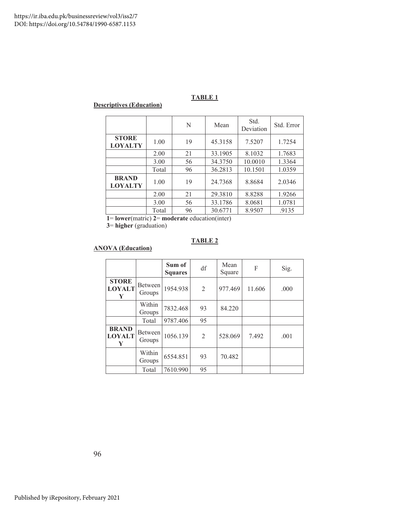## **Descriptives (Education)**

|                                |       | N  | Mean    | Std.<br>Deviation | Std. Error |
|--------------------------------|-------|----|---------|-------------------|------------|
| <b>STORE</b><br><b>LOYALTY</b> | 1.00  | 19 | 45.3158 | 7.5207            | 1.7254     |
|                                | 2.00  | 21 | 33.1905 | 8.1032            | 1.7683     |
|                                | 3.00  | 56 | 34.3750 | 10.0010           | 1.3364     |
|                                | Total | 96 | 36.2813 | 10.1501           | 1.0359     |
| <b>BRAND</b><br><b>LOYALTY</b> | 1.00  | 19 | 24.7368 | 8.8684            | 2.0346     |
|                                | 2.00  | 21 | 29.3810 | 8.8288            | 1.9266     |
|                                | 3.00  | 56 | 33.1786 | 8.0681            | 1.0781     |
|                                | Total | 96 | 30.6771 | 8.9507            | .9135      |

 **1**= **lower**(matric) **2**= **moderate** education(inter)

 **3**= **higher** (graduation)

## **TABLE 2**

## **ANOVA (Education)**

|                                    |                   | Sum of<br><b>Squares</b> | df             | Mean<br>Square | F      | Sig. |
|------------------------------------|-------------------|--------------------------|----------------|----------------|--------|------|
| <b>STORE</b><br><b>LOYALT</b><br>Y | Between<br>Groups | 1954.938                 | $\overline{2}$ | 977.469        | 11.606 | .000 |
|                                    | Within<br>Groups  | 7832.468                 | 93             | 84.220         |        |      |
|                                    | Total             | 9787.406                 | 95             |                |        |      |
| <b>BRAND</b><br><b>LOYALT</b><br>Y | Between<br>Groups | 1056.139                 | $\overline{2}$ | 528.069        | 7.492  | .001 |
|                                    | Within<br>Groups  | 6554.851                 | 93             | 70.482         |        |      |
|                                    | Total             | 7610.990                 | 95             |                |        |      |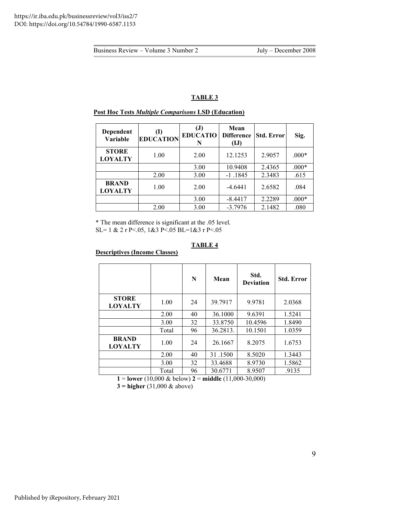#### **Dependent Variable (I) EDUCATION (J) EDUCATIO N Mean Difference (IJ) Std. Error** Sig. **STORE LOYALTY** 1.00 2.00 12.1253 2.9057 .000\* 3.00 10.9408 2.4365 .000\* 2.00 3.00 -1.1845 2.3483 .615 **BRAND LOYALTY** 1.00 2.00  $-4.6441$  2.6582 .084  $3.00$   $-8.4417$   $2.2289$   $.000*$ 2.00 | 3.00 | -3.7976 | 2.1482 | .080

### **Post Hoc Tests** *Multiple Comparisons* **LSD (Education)**

\* The mean difference is significant at the .05 level. SL= 1 & 2 r P<.05, 1&3 P<.05 BL=1&3 r P<.05

## **TABLE 4**

## **Descriptives (Income Classes)**

|                                |       | N  | Mean     | Std.<br><b>Deviation</b> | <b>Std. Error</b> |
|--------------------------------|-------|----|----------|--------------------------|-------------------|
| <b>STORE</b><br><b>LOYALTY</b> | 1.00  | 24 | 39.7917  | 9.9781                   | 2.0368            |
|                                | 2.00  | 40 | 36.1000  | 9.6391                   | 1.5241            |
|                                | 3.00  | 32 | 33.8750  | 10.4596                  | 1.8490            |
|                                | Total | 96 | 36.2813. | 10.1501                  | 1.0359            |
| <b>BRAND</b><br><b>LOYALTY</b> | 1.00  | 24 | 26.1667  | 8.2075                   | 1.6753            |
|                                | 2.00  | 40 | 31.1500  | 8.5020                   | 1.3443            |
|                                | 3.00  | 32 | 33.4688  | 8.9730                   | 1.5862            |
|                                | Total | 96 | 30.6771  | 8.9507                   | .9135             |

**1** = **lower** (10,000 & below) **2** = **middle** (11,000-30,000)

**3 = higher** (31,000 & above)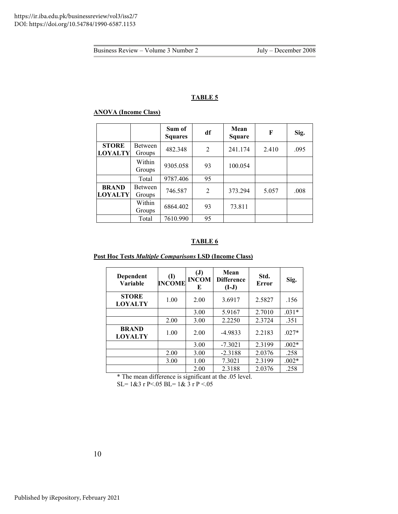### **ANOVA (Income Class)**

|                                |                          | Sum of<br><b>Squares</b> | df             | Mean<br><b>Square</b> | F     | Sig. |
|--------------------------------|--------------------------|--------------------------|----------------|-----------------------|-------|------|
| <b>STORE</b><br><b>LOYALTY</b> | <b>Between</b><br>Groups | 482.348                  | $\overline{2}$ | 241.174               | 2.410 | .095 |
|                                | Within<br>Groups         | 9305.058                 | 93             | 100.054               |       |      |
|                                | Total                    | 9787.406                 | 95             |                       |       |      |
| <b>BRAND</b><br><b>LOYALTY</b> | Between<br>Groups        | 746.587                  | $\overline{2}$ | 373.294               | 5.057 | .008 |
|                                | Within<br>Groups         | 6864.402                 | 93             | 73.811                |       |      |
|                                | Total                    | 7610.990                 | 95             |                       |       |      |

## **TABLE 6**

## **Post Hoc Tests** *Multiple Comparisons* **LSD (Income Class)**

| Dependent<br>Variable          | (I)<br><b>INCOME</b> | $\mathbf{J}$<br><b>INCOM</b><br>E | Mean<br><b>Difference</b><br>$(I-J)$ | Std.<br>Error | Sig.    |
|--------------------------------|----------------------|-----------------------------------|--------------------------------------|---------------|---------|
| <b>STORE</b><br><b>LOYALTY</b> | 1.00                 | 2.00                              | 3.6917                               | 2.5827        | .156    |
|                                |                      | 3.00                              | 5.9167                               | 2.7010        | $.031*$ |
|                                | 2.00                 | 3.00                              | 2.2250                               | 2.3724        | .351    |
| <b>BRAND</b><br><b>LOYALTY</b> | 1.00                 | 2.00                              | $-4.9833$                            | 2.2183        | $.027*$ |
|                                |                      | 3.00                              | $-7.3021$                            | 2.3199        | $.002*$ |
|                                | 2.00                 | 3.00                              | $-2.3188$                            | 2.0376        | .258    |
|                                | 3.00                 | 1.00                              | 7.3021                               | 2.3199        | $.002*$ |
|                                |                      | 2.00                              | 2.3188                               | 2.0376        | .258    |

\* The mean difference is significant at the .05 level.

SL= 1&3 r P<.05 BL= 1& 3 r P <.05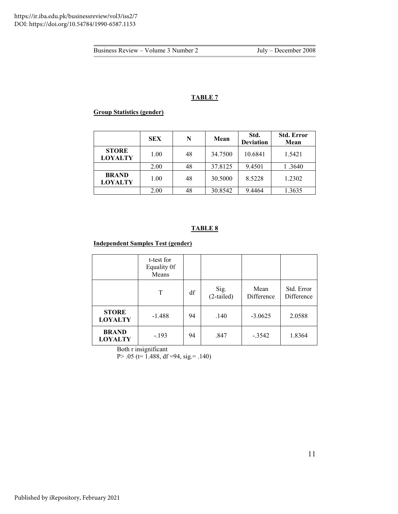## **TABLE 7**

## **Group Statistics (gender)**

|                                | <b>SEX</b> | N  | Mean    | Std.<br><b>Deviation</b> | <b>Std. Error</b><br>Mean |
|--------------------------------|------------|----|---------|--------------------------|---------------------------|
| <b>STORE</b><br><b>LOYALTY</b> | 1.00       | 48 | 34.7500 | 10.6841                  | 1.5421                    |
|                                | 2.00       | 48 | 37.8125 | 9.4501                   | 1.3640                    |
| <b>BRAND</b><br><b>LOYALTY</b> | 1.00       | 48 | 30.5000 | 8.5228                   | 1.2302                    |
|                                | 2.00       | 48 | 30.8542 | 9.4464                   | 1.3635                    |

# **TABLE 8**

## **Independent Samples Test (gender)**

|                                | t-test for<br>Equality 0f<br>Means |    |                      |                    |                          |
|--------------------------------|------------------------------------|----|----------------------|--------------------|--------------------------|
|                                | T                                  | df | Sig.<br>$(2-tailed)$ | Mean<br>Difference | Std. Error<br>Difference |
| <b>STORE</b><br><b>LOYALTY</b> | $-1.488$                           | 94 | .140                 | $-3.0625$          | 2.0588                   |
| <b>BRAND</b><br><b>LOYALTY</b> | $-.193$                            | 94 | .847                 | $-.3542$           | 1.8364                   |

Both r insignificant

P> .05 (t= 1.488, df =94, sig.= .140)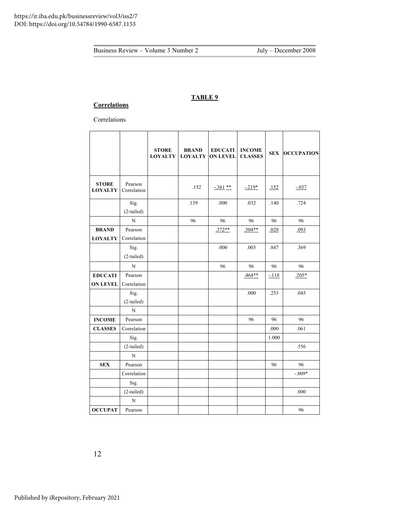## **Correlations**

Correlations

|                                |                        | <b>STORE</b><br><b>LOYALTY</b> | <b>BRAND</b><br><b>LOYALTY</b> | <b>EDUCATI</b><br><b>ON LEVEL</b> | <b>INCOME</b><br><b>CLASSES</b> | <b>SEX</b> | <b>OCCUPATION</b> |
|--------------------------------|------------------------|--------------------------------|--------------------------------|-----------------------------------|---------------------------------|------------|-------------------|
| <b>STORE</b><br><b>LOYALTY</b> | Pearson<br>Correlation |                                | .152                           | $-.361$ **                        | $-219*$                         | .152       | $-.037$           |
|                                | Sig.<br>(2-tailed)     |                                | .139                           | .000                              | .032                            | .140       | .724              |
|                                | $\overline{N}$         |                                | 96                             | 96                                | 96                              | 96         | 96                |
| <b>BRAND</b>                   | Pearson                |                                |                                | $.372**$                          | $.304**$                        | .020       | .093              |
| <b>LOYALTY</b>                 | Correlation            |                                |                                |                                   |                                 |            |                   |
|                                | Sig.                   |                                |                                | .000                              | .003                            | .847       | .369              |
|                                | $(2-tailed)$           |                                |                                |                                   |                                 |            |                   |
|                                | $\mathbf N$            |                                |                                | 96                                | 96                              | 96         | 96                |
| <b>EDUCATI</b>                 | Pearson                |                                |                                |                                   | .464**                          | $-118$     | $.205*$           |
| <b>ON LEVEL</b>                | Correlation            |                                |                                |                                   |                                 |            |                   |
|                                | Sig.                   |                                |                                |                                   | .000                            | .253       | .045              |
|                                | (2-tailed)             |                                |                                |                                   |                                 |            |                   |
|                                | N                      |                                |                                |                                   |                                 |            |                   |
| <b>INCOME</b>                  | Pearson                |                                |                                |                                   | 96                              | 96         | 96                |
| <b>CLASSES</b>                 | Correlation            |                                |                                |                                   |                                 | .000       | .061              |
|                                | Sig.                   |                                |                                |                                   |                                 | 1.000      |                   |
|                                | (2-tailed)             |                                |                                |                                   |                                 |            | .556              |
|                                | $\mathbf N$            |                                |                                |                                   |                                 |            |                   |
| <b>SEX</b>                     | Pearson                |                                |                                |                                   |                                 | 96         | 96                |
|                                | Correlation            |                                |                                |                                   |                                 |            | $-.809*$          |
|                                | Sig.                   |                                |                                |                                   |                                 |            |                   |
|                                | (2-tailed)             |                                |                                |                                   |                                 |            | .000              |
|                                | N                      |                                |                                |                                   |                                 |            |                   |
| <b>OCCUPAT</b>                 | Pearson                |                                |                                |                                   |                                 |            | 96                |

12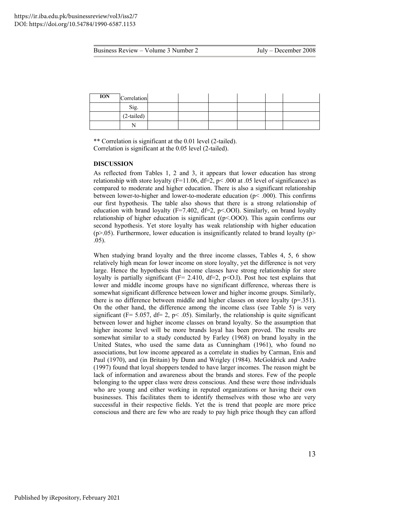| <b>ION</b> | Correlation  |  |  |  |
|------------|--------------|--|--|--|
|            | Sig.         |  |  |  |
|            | $(2-tailed)$ |  |  |  |
|            |              |  |  |  |

\*\* Correlation is significant at the 0.01 level (2-tailed). Correlation is significant at the 0.05 level (2-tailed).

#### **DISCUSSION**

As reflected from Tables 1, 2 and 3, it appears that lower education has strong relationship with store loyalty (F=11.06, df=2,  $p$  < .000 at .05 level of significance) as compared to moderate and higher education. There is also a significant relationship between lower-to-higher and lower-to-moderate education (p< .000). This confirms our first hypothesis. The table also shows that there is a strong relationship of education with brand loyalty ( $F=7.402$ ,  $df=2$ ,  $p<.001$ ). Similarly, on brand loyalty relationship of higher education is significant ( $(p<.000)$ ). This again confirms our second hypothesis. Yet store loyalty has weak relationship with higher education  $(p>0.05)$ . Furthermore, lower education is insignificantly related to brand loyalty  $(p>0.05)$ . .05).

When studying brand loyalty and the three income classes, Tables 4, 5, 6 show relatively high mean for lower income on store loyalty, yet the difference is not very large. Hence the hypothesis that income classes have strong relationship for store loyalty is partially significant ( $F = 2.410$ ,  $df=2$ ,  $p < 0.1$ ). Post hoc test explains that lower and middle income groups have no significant difference, whereas there is somewhat significant difference between lower and higher income groups. Similarly, there is no difference between middle and higher classes on store loyalty (p=.351). On the other hand, the difference among the income class (see Table 5) is very significant ( $F = 5.057$ ,  $df = 2$ ,  $p < .05$ ). Similarly, the relationship is quite significant between lower and higher income classes on brand loyalty. So the assumption that higher income level will be more brands loyal has been proved. The results are somewhat similar to a study conducted by Farley (1968) on brand loyalty in the United States, who used the same data as Cunningham (1961), who found no associations, but low income appeared as a correlate in studies by Carman, Enis and Paul (1970), and (in Britain) by Dunn and Wrigley (1984). McGoldrick and Andre (1997) found that loyal shoppers tended to have larger incomes. The reason might be lack of information and awareness about the brands and stores. Few of the people belonging to the upper class were dress conscious. And these were those individuals who are young and either working in reputed organizations or having their own businesses. This facilitates them to identify themselves with those who are very successful in their respective fields. Yet the is trend that people are more price conscious and there are few who are ready to pay high price though they can afford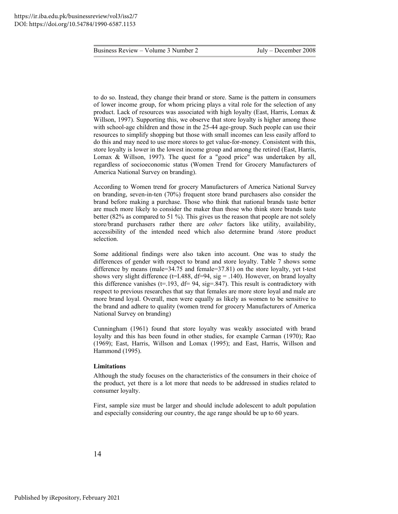to do so. Instead, they change their brand or store. Same is the pattern in consumers of lower income group, for whom pricing plays a vital role for the selection of any product. Lack of resources was associated with high loyalty (East, Harris, Lomax & Willson, 1997). Supporting this, we observe that store loyalty is higher among those with school-age children and those in the 25-44 age-group. Such people can use their resources to simplify shopping but those with small incomes can less easily afford to do this and may need to use more stores to get value-for-money. Consistent with this, store loyalty is lower in the lowest income group and among the retired (East, Harris, Lomax & Willson, 1997). The quest for a "good price" was undertaken by all, regardless of socioeconomic status (Women Trend for Grocery Manufacturers of America National Survey on branding).

According to Women trend for grocery Manufacturers of America National Survey on branding, seven-in-ten (70%) frequent store brand purchasers also consider the brand before making a purchase. Those who think that national brands taste better are much more likely to consider the maker than those who think store brands taste better (82% as compared to 51 %). This gives us the reason that people are not solely store/brand purchasers rather there are *other* factors like utility, availability, accessibility of the intended need which also determine brand */*store product selection.

Some additional findings were also taken into account. One was to study the differences of gender with respect to brand and store loyalty. Table 7 shows some difference by means (male=34.75 and female=37.81) on the store loyalty, yet t-test shows very slight difference ( $t=1.488$ ,  $df=94$ , sig = .140). However, on brand loyalty this difference vanishes ( $t=193$ ,  $df= 94$ , sig=.847). This result is contradictory with respect to previous researches that say that females are more store loyal and male are more brand loyal. Overall, men were equally as likely as women to be sensitive to the brand and adhere to quality (women trend for grocery Manufacturers of America National Survey on branding)

Cunningham (1961) found that store loyalty was weakly associated with brand loyalty and this has been found in other studies, for example Carman (1970); Rao (1969); East, Harris, Willson and Lomax (1995); and East, Harris, Willson and Hammond (1995).

#### **Limitations**

Although the study focuses on the characteristics of the consumers in their choice of the product, yet there is a lot more that needs to be addressed in studies related to consumer loyalty.

First, sample size must be larger and should include adolescent to adult population and especially considering our country, the age range should be up to 60 years.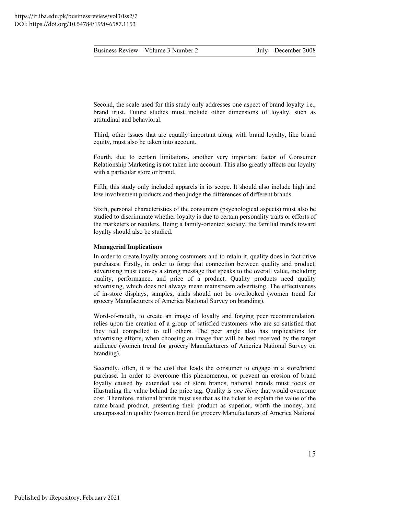Second, the scale used for this study only addresses one aspect of brand loyalty i.e., brand trust. Future studies must include other dimensions of loyalty, such as attitudinal and behavioral.

Third, other issues that are equally important along with brand loyalty, like brand equity, must also be taken into account.

Fourth, due to certain limitations, another very important factor of Consumer Relationship Marketing is not taken into account. This also greatly affects our loyalty with a particular store or brand.

Fifth, this study only included apparels in its scope. It should also include high and low involvement products and then judge the differences of different brands.

Sixth, personal characteristics of the consumers (psychological aspects) must also be studied to discriminate whether loyalty is due to certain personality traits or efforts of the marketers or retailers. Being a family-oriented society, the familial trends toward loyalty should also be studied.

#### **Managerial Implications**

In order to create loyalty among costumers and to retain it, quality does in fact drive purchases. Firstly, in order to forge that connection between quality and product, advertising must convey a strong message that speaks to the overall value, including quality, performance, and price of a product. Quality products need quality advertising, which does not always mean mainstream advertising. The effectiveness of in-store displays, samples, trials should not be overlooked (women trend for grocery Manufacturers of America National Survey on branding).

Word-of-mouth, to create an image of loyalty and forging peer recommendation, relies upon the creation of a group of satisfied customers who are so satisfied that they feel compelled to tell others. The peer angle also has implications for advertising efforts, when choosing an image that will be best received by the target audience (women trend for grocery Manufacturers of America National Survey on branding).

Secondly, often, it is the cost that leads the consumer to engage in a store/brand purchase. In order to overcome this phenomenon, or prevent an erosion of brand loyalty caused by extended use of store brands, national brands must focus on illustrating the value behind the price tag. Quality is *one thing* that would overcome cost. Therefore, national brands must use that as the ticket to explain the value of the name-brand product, presenting their product as superior, worth the money, and unsurpassed in quality (women trend for grocery Manufacturers of America National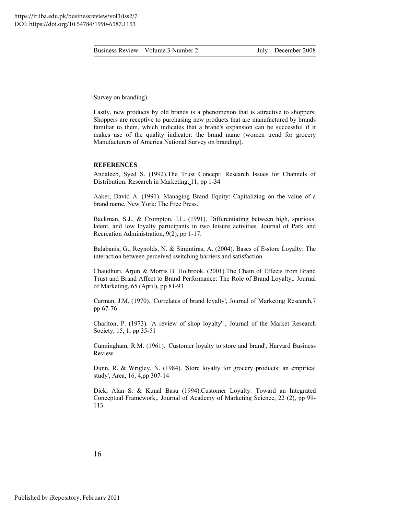Survey on branding).

Lastly, new products by old brands is a phenomenon that is attractive to shoppers. Shoppers are receptive to purchasing new products that are manufactured by brands familiar to them, which indicates that a brand's expansion can be successful if it makes use of the quality indicator: the brand name (women trend for grocery Manufacturers of America National Survey on branding).

#### **REFERENCES**

Andaleeb, Syed S. (1992).The Trust Concept: Research Issues for Channels of Distribution. Research in Marketing, 11, pp 1-34

Aaker, David A. (1991). Managing Brand Equity: Capitalizing on the value of a brand name, New York: The Free Press.

Backman, S.J., & Crompton, J.L. (1991). Differentiating between high, spurious, latent, and low loyalty participants in two leisure activities. Journal of Park and Recreation Administration, 9(2), pp 1-17.

Balabanis, G., Reynolds, N. & Simintiras, A. (2004). Bases of E-store Loyalty: The interaction between perceived switching barriers and satisfaction

Chaudhuri, Arjun & Morris B. Holbrook. (2001).The Chain of Effects from Brand Trust and Brand Affect to Brand Performance: The Role of Brand Loyalty,. Journal of Marketing, 65 (April), pp 81-93

Carman, J.M. (1970). 'Correlates of brand loyalty', Journal of Marketing Research,7 pp 67-76

Charlton, P. (1973). 'A review of shop loyalty' , Journal of the Market Research Society, 15, 1, pp 35-51

Cunningham, R.M. (1961). 'Customer loyalty to store and brand', Harvard Business Review

Dunn, R. & Wrigley, N. (1984). 'Store loyalty for grocery products: an empirical study', Area, 16, 4,pp 307-14

Dick, Alan S. & Kunal Basu (1994).Customer Loyalty: Toward an Integrated Conceptual Framework,. Journal of Academy of Marketing Science, 22 (2), pp 99- 113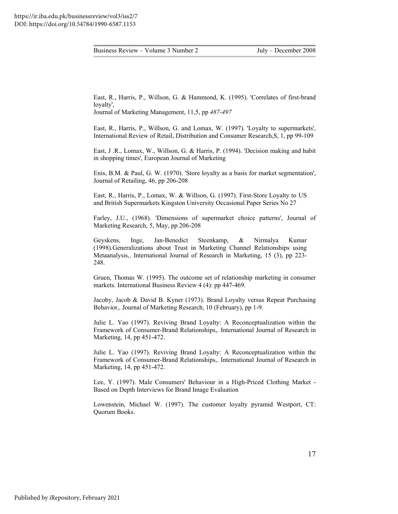East, R., Harris, P., Willson, G. & Hammond, K. (1995). 'Correlates of first-brand loyalty',

Journal of Marketing Management, 11,5, pp *487-497* 

East, R., Harris, P., Willson, G. and Lomax, W. (1997). 'Loyalty to supermarkets', International Review of Retail, Distribution and Consumer Research,S, 1, pp 99-109

East, J .R., Lomax, W., Willson, G. & Harris, P. (1994). 'Decision making and habit in shopping times', European Journal of Marketing

Enis, B.M. & Paul, G. W. (1970). 'Store loyalty as a basis for market segmentation', Journal of Retailing, 46, pp 206-208

East, R., Harris, P., Lomax, W. & Willson, G. (1997). First-Store Loyalty to US and British Supermarkets Kingston University Occasional Paper Series No 27

Farley, J.U., (1968). 'Dimensions of supermarket choice patterns', Journal of Marketing Research, 5, May, pp 206-208

Geyskens, Inge, Jan-Benedict Steenkamp, & Nirmalya Kumar (1998).Generalizations about Trust in Marketing Channel Relationships using Metaanalysis,. International Journal of Research in Marketing, 15 (3), pp 223- 248.

Gruen, Thomas W. (1995). The outcome set of relationship marketing in consumer markets. International Business Review 4 (4): pp 447-469.

Jacoby, Jacob & David B. Kyner (1973). Brand Loyalty versus Repeat Purchasing Behavior,. Journal of Marketing Research, 10 (February), pp 1-9.

Julie L. Yao (1997). Reviving Brand Loyalty: A Reconceptualization within the Framework of Consumer-Brand Relationships,. International Journal of Research in Marketing, 14, pp 451-472.

Julie L. Yao (1997). Reviving Brand Loyalty: A Reconceptualization within the Framework of Consumer-Brand Relationships,. International Journal of Research in Marketing, 14, pp 451-472.

Lee, Y. (1997). Male Consumers' Behaviour in a High-Priced Clothing Market - Based on Depth Interviews for Brand Image Evaluation

Lowenstein, Michael W. (1997). The customer loyalty pyramid Westport, CT: Quorum Books.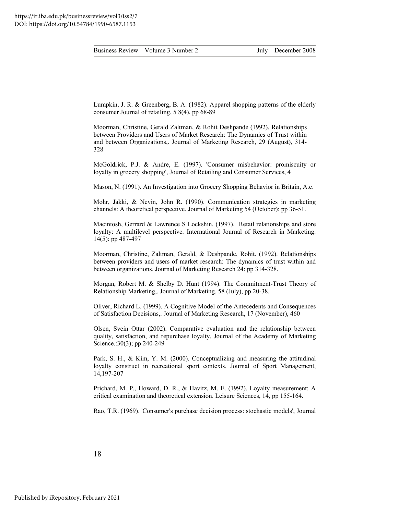Lumpkin, J. R. & Greenberg, B. A. (1982). Apparel shopping patterns of the elderly consumer Journal of retailing, 5 8(4), pp 68-89

Moorman, Christine, Gerald Zaltman, & Rohit Deshpande (1992). Relationships between Providers and Users of Market Research: The Dynamics of Trust within and between Organizations,. Journal of Marketing Research, 29 (August), 314- 328

McGoldrick, P.J. & Andre, E. (1997). 'Consumer misbehavior: promiscuity or loyalty in grocery shopping', Journal of Retailing and Consumer Services, 4

Mason, N. (1991). An Investigation into Grocery Shopping Behavior in Britain, A.c.

Mohr, Jakki, & Nevin, John R. (1990). Communication strategies in marketing channels: A theoretical perspective. Journal of Marketing 54 (October): pp 36-51.

Macintosh, Gerrard & Lawrence S Lockshin. (1997). Retail relationships and store loyalty: A multilevel perspective. International Journal of Research in Marketing. 14(5): pp 487-497

Moorman, Christine, Zaltman, Gerald, & Deshpande, Rohit. (1992). Relationships between providers and users of market research: The dynamics of trust within and between organizations. Journal of Marketing Research 24: pp 314-328.

Morgan, Robert M. & Shelby D. Hunt (1994). The Commitment-Trust Theory of Relationship Marketing,. Journal of Marketing, 58 (July), pp 20-38.

Oliver, Richard L. (1999). A Cognitive Model of the Antecedents and Consequences of Satisfaction Decisions,. Journal of Marketing Research, 17 (November), 460

Olsen, Svein Ottar (2002). Comparative evaluation and the relationship between quality, satisfaction, and repurchase loyalty. Journal of the Academy of Marketing Science.:30(3); pp 240-249

Park, S. H., & Kim, Y. M. (2000). Conceptualizing and measuring the attitudinal loyalty construct in recreational sport contexts. Journal of Sport Management, 14,197-207

Prichard, M. P., Howard, D. R., & Havitz, M. E. (1992). Loyalty measurement: A critical examination and theoretical extension. Leisure Sciences, 14, pp 155-164.

Rao, T.R. (1969). 'Consumer's purchase decision process: stochastic models', Journal

18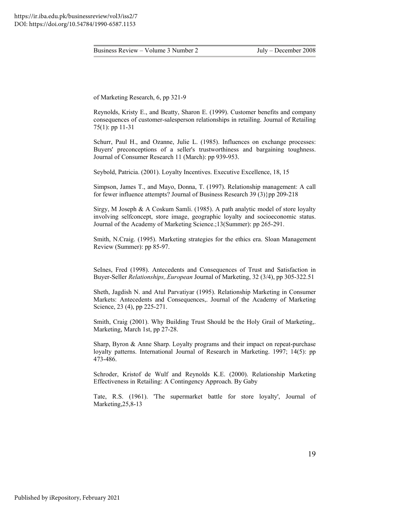of Marketing Research, 6, pp 321-9

Reynolds, Kristy E., and Beatty, Sharon E. (1999). Customer benefits and company consequences of customer-salesperson relationships in retailing. Journal of Retailing 75(1): pp 11-31

Schurr, Paul H., and Ozanne, Julie L. (1985). Influences on exchange processes: Buyers' preconceptions of a seller's trustworthiness and bargaining toughness. Journal of Consumer Research 11 (March): pp 939-953.

Seybold, Patricia. (2001). Loyalty Incentives. Executive Excellence, 18, 15

Simpson, James T., and Mayo, Donna, T. (1997). Relationship management: A call for fewer influence attempts? Journal of Business Research 39 (3)}pp 209-218

Sirgy, M Joseph & A Coskum Samli. (1985). A path analytic model of store loyalty involving selfconcept, store image, geographic loyalty and socioeconomic status. Journal of the Academy of Marketing Science.;13(Summer): pp 265-291.

Smith, N.Craig. (1995). Marketing strategies for the ethics era. Sloan Management Review (Summer): pp 85-97.

SeInes, Fred (1998). Antecedents and Consequences of Trust and Satisfaction in Buyer-Seller *Relationships,.European* Journal of Marketing, 32 (3/4), pp 305-322.51

Sheth, Jagdish N. and Atul Parvatiyar (1995). Relationship Marketing in Consumer Markets: Antecedents and Consequences,. Journal of the Academy of Marketing Science, 23 (4), pp 225-271.

Smith, Craig (2001). Why Building Trust Should be the Holy Grail of Marketing,. Marketing, March 1st, pp 27-28.

Sharp, Byron & Anne Sharp. Loyalty programs and their impact on repeat-purchase loyalty patterns. International Journal of Research in Marketing. 1997; 14(5): pp 473-486.

Schroder, Kristof de Wulf and Reynolds K.E. (2000). Relationship Marketing Effectiveness in Retailing: A Contingency Approach. By Gaby

Tate, R.S. (1961). 'The supermarket battle for store loyalty', Journal of Marketing, 25, 8-13